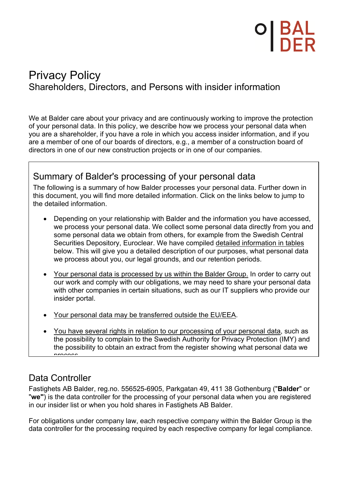# Privacy Policy Shareholders, Directors, and Persons with insider information

We at Balder care about your privacy and are continuously working to improve the protection of your personal data. In this policy, we describe how we process your personal data when you are a shareholder, if you have a role in which you access insider information, and if you are a member of one of our boards of directors, e.g., a member of a construction board of directors in one of our new construction projects or in one of our companies.

## Summary of Balder's processing of your personal data

The following is a summary of how Balder processes your personal data. Further down in this document, you will find more detailed information. Click on the links below to jump to the detailed information.

- Depending on your relationship with Balder and the information you have accessed, we process your personal data. We collect some personal data directly from you and some personal data we obtain from others, for example from the Swedish Central Securities Depository, Euroclear. We have compiled detailed information in tables below. This will give you a detailed description of our purposes, what personal data we process about you, our legal grounds, and our retention periods.
- Your personal data is processed by us within the Balder Group. In order to carry out our work and comply with our obligations, we may need to share your personal data with other companies in certain situations, such as our IT suppliers who provide our insider portal.
- Your personal data may be transferred outside the EU/EEA.
- You have several rights in relation to our processing of your personal data, such as the possibility to complain to the Swedish Authority for Privacy Protection (IMY) and the possibility to obtain an extract from the register showing what personal data we process

# Data Controller

Fastighets AB Balder, reg.no. 556525-6905, Parkgatan 49, 411 38 Gothenburg ("**Balder**" or "**we"**) is the data controller for the processing of your personal data when you are registered in our insider list or when you hold shares in Fastighets AB Balder.

For obligations under company law, each respective company within the Balder Group is the data controller for the processing required by each respective company for legal compliance.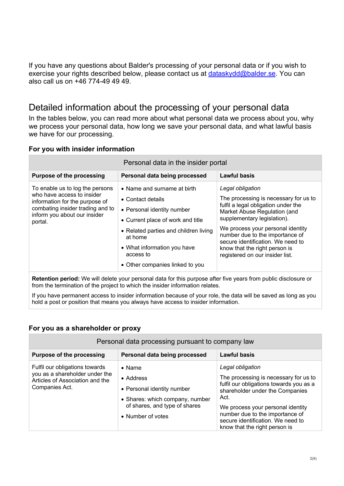If you have any questions about Balder's processing of your personal data or if you wish to exercise your rights described below, please contact us at dataskydd@balder.se. You can also call us on +46 774-49 49 49.

## Detailed information about the processing of your personal data

In the tables below, you can read more about what personal data we process about you, why we process your personal data, how long we save your personal data, and what lawful basis we have for our processing.

#### **For you with insider information**

| Personal data in the insider portal                                                                                                                                            |                                                                                                                                                                                                                                                        |                                                                                                                                                                                                                                                                                                                                                  |  |
|--------------------------------------------------------------------------------------------------------------------------------------------------------------------------------|--------------------------------------------------------------------------------------------------------------------------------------------------------------------------------------------------------------------------------------------------------|--------------------------------------------------------------------------------------------------------------------------------------------------------------------------------------------------------------------------------------------------------------------------------------------------------------------------------------------------|--|
| <b>Purpose of the processing</b>                                                                                                                                               | Personal data being processed                                                                                                                                                                                                                          | <b>Lawful basis</b>                                                                                                                                                                                                                                                                                                                              |  |
| To enable us to log the persons<br>who have access to insider<br>information for the purpose of<br>combating insider trading and to<br>inform you about our insider<br>portal. | • Name and surname at birth<br>• Contact details<br>• Personal identity number<br>• Current place of work and title<br>• Related parties and children living<br>at home<br>• What information you have<br>access to<br>• Other companies linked to you | Legal obligation<br>The processing is necessary for us to<br>fulfil a legal obligation under the<br>Market Abuse Regulation (and<br>supplementary legislation).<br>We process your personal identity<br>number due to the importance of<br>secure identification. We need to<br>know that the right person is<br>registered on our insider list. |  |

**Retention period:** We will delete your personal data for this purpose after five years from public disclosure or from the termination of the project to which the insider information relates.

If you have permanent access to insider information because of your role, the data will be saved as long as you hold a post or position that means you always have access to insider information.

#### **For you as a shareholder or proxy**

| Personal data processing pursuant to company law                                                                      |                                                                                                                                                    |                                                                                                                                                                                                                                                                                               |  |
|-----------------------------------------------------------------------------------------------------------------------|----------------------------------------------------------------------------------------------------------------------------------------------------|-----------------------------------------------------------------------------------------------------------------------------------------------------------------------------------------------------------------------------------------------------------------------------------------------|--|
| <b>Purpose of the processing</b>                                                                                      | Personal data being processed                                                                                                                      | <b>Lawful basis</b>                                                                                                                                                                                                                                                                           |  |
| Fulfil our obligations towards<br>you as a shareholder under the<br>Articles of Association and the<br>Companies Act. | $\bullet$ Name<br>• Address<br>• Personal identity number<br>• Shares: which company, number<br>of shares, and type of shares<br>• Number of votes | Legal obligation<br>The processing is necessary for us to<br>fulfil our obligations towards you as a<br>shareholder under the Companies<br>Act.<br>We process your personal identity<br>number due to the importance of<br>secure identification. We need to<br>know that the right person is |  |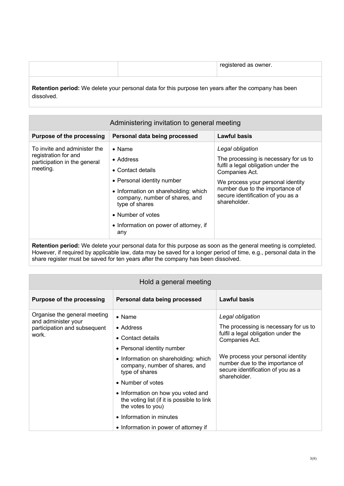|            |                                                                                                             | registered as owner. |
|------------|-------------------------------------------------------------------------------------------------------------|----------------------|
| dissolved. | <b>Retention period:</b> We delete your personal data for this purpose ten years after the company has been |                      |

| Administering invitation to general meeting                                                                                                                                   |                                                                                                                                                                     |                                                                                                                                                                                                                                                 |  |
|-------------------------------------------------------------------------------------------------------------------------------------------------------------------------------|---------------------------------------------------------------------------------------------------------------------------------------------------------------------|-------------------------------------------------------------------------------------------------------------------------------------------------------------------------------------------------------------------------------------------------|--|
| <b>Purpose of the processing</b>                                                                                                                                              | Personal data being processed                                                                                                                                       | <b>Lawful basis</b>                                                                                                                                                                                                                             |  |
| To invite and administer the<br>$\bullet$ Name<br>registration for and<br>• Address<br>participation in the general<br>meeting.<br>• Contact details<br>type of shares<br>any | • Personal identity number<br>• Information on shareholding: which<br>company, number of shares, and<br>• Number of votes<br>• Information on power of attorney, if | Legal obligation<br>The processing is necessary for us to<br>fulfil a legal obligation under the<br>Companies Act.<br>We process your personal identity<br>number due to the importance of<br>secure identification of you as a<br>shareholder. |  |

**Retention period:** We delete your personal data for this purpose as soon as the general meeting is completed. However, if required by applicable law, data may be saved for a longer period of time, e.g., personal data in the share register must be saved for ten years after the company has been dissolved.

| Hold a general meeting                                                                       |                                                                                                                                                                                                                                                                                                                                                                               |                                                                                                                                                                                                                                                 |  |
|----------------------------------------------------------------------------------------------|-------------------------------------------------------------------------------------------------------------------------------------------------------------------------------------------------------------------------------------------------------------------------------------------------------------------------------------------------------------------------------|-------------------------------------------------------------------------------------------------------------------------------------------------------------------------------------------------------------------------------------------------|--|
| <b>Purpose of the processing</b>                                                             | Personal data being processed                                                                                                                                                                                                                                                                                                                                                 | Lawful basis                                                                                                                                                                                                                                    |  |
| Organise the general meeting<br>and administer your<br>participation and subsequent<br>work. | $\bullet$ Name<br>• Address<br>• Contact details<br>• Personal identity number<br>• Information on shareholding: which<br>company, number of shares, and<br>type of shares<br>• Number of votes<br>• Information on how you voted and<br>the voting list (if it is possible to link<br>the votes to you)<br>• Information in minutes<br>• Information in power of attorney if | Legal obligation<br>The processing is necessary for us to<br>fulfil a legal obligation under the<br>Companies Act.<br>We process your personal identity<br>number due to the importance of<br>secure identification of you as a<br>shareholder. |  |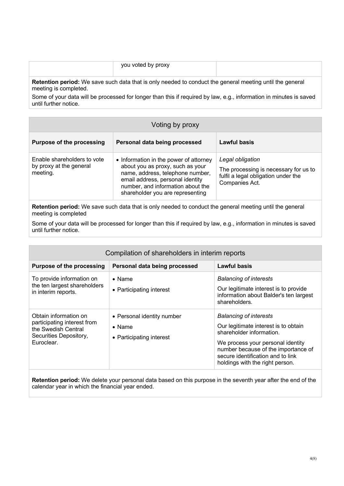|                       | you voted by proxy                                                                                              |  |
|-----------------------|-----------------------------------------------------------------------------------------------------------------|--|
| meeting is completed. | <b>Retention period:</b> We save such data that is only needed to conduct the general meeting until the general |  |

Some of your data will be processed for longer than this if required by law, e.g., information in minutes is saved until further notice.

| Voting by proxy                                                    |                                                                                                                                                                                                                             |                                                                                                                    |  |
|--------------------------------------------------------------------|-----------------------------------------------------------------------------------------------------------------------------------------------------------------------------------------------------------------------------|--------------------------------------------------------------------------------------------------------------------|--|
| <b>Purpose of the processing</b>                                   | Personal data being processed                                                                                                                                                                                               | Lawful basis                                                                                                       |  |
| Enable shareholders to vote<br>by proxy at the general<br>meeting. | • Information in the power of attorney<br>about you as proxy, such as your<br>name, address, telephone number,<br>email address, personal identity<br>number, and information about the<br>shareholder you are representing | Legal obligation<br>The processing is necessary for us to<br>fulfil a legal obligation under the<br>Companies Act. |  |

**Retention period:** We save such data that is only needed to conduct the general meeting until the general meeting is completed

Some of your data will be processed for longer than this if required by law, e.g., information in minutes is saved until further notice.

| Compilation of shareholders in interim reports                                                                      |                                                                          |                                                                                                                                                                                                                                                       |  |
|---------------------------------------------------------------------------------------------------------------------|--------------------------------------------------------------------------|-------------------------------------------------------------------------------------------------------------------------------------------------------------------------------------------------------------------------------------------------------|--|
| <b>Purpose of the processing</b>                                                                                    | Personal data being processed                                            | Lawful basis                                                                                                                                                                                                                                          |  |
| To provide information on<br>the ten largest shareholders<br>in interim reports.                                    | $\bullet$ Name<br>• Participating interest                               | <b>Balancing of interests</b><br>Our legitimate interest is to provide<br>information about Balder's ten largest<br>shareholders.                                                                                                                     |  |
| Obtain information on<br>participating interest from<br>the Swedish Central<br>Securities Depository,<br>Euroclear. | • Personal identity number<br>$\bullet$ Name<br>• Participating interest | <b>Balancing of interests</b><br>Our legitimate interest is to obtain<br>shareholder information.<br>We process your personal identity<br>number because of the importance of<br>secure identification and to link<br>holdings with the right person. |  |

**Retention period:** We delete your personal data based on this purpose in the seventh year after the end of the calendar year in which the financial year ended.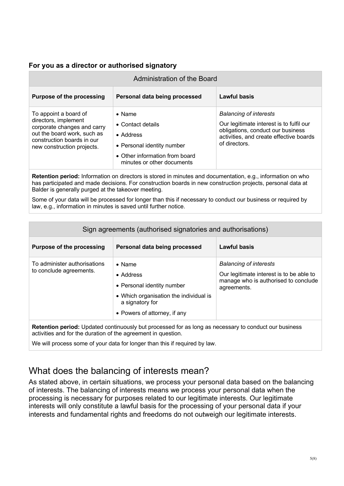#### **For you as a director or authorised signatory**

| Administration of the Board                                                                                                                                             |                                                                                                                                                |                                                                                                                                                                            |
|-------------------------------------------------------------------------------------------------------------------------------------------------------------------------|------------------------------------------------------------------------------------------------------------------------------------------------|----------------------------------------------------------------------------------------------------------------------------------------------------------------------------|
| <b>Purpose of the processing</b>                                                                                                                                        | Personal data being processed                                                                                                                  | Lawful basis                                                                                                                                                               |
| To appoint a board of<br>directors, implement<br>corporate changes and carry<br>out the board work, such as<br>construction boards in our<br>new construction projects. | $\bullet$ Name<br>• Contact details<br>• Address<br>• Personal identity number<br>• Other information from board<br>minutes or other documents | <b>Balancing of interests</b><br>Our legitimate interest is to fulfil our<br>obligations, conduct our business<br>activities, and create effective boards<br>of directors. |

**Retention period:** Information on directors is stored in minutes and documentation, e.g., information on who has participated and made decisions. For construction boards in new construction projects, personal data at Balder is generally purged at the takeover meeting.

Some of your data will be processed for longer than this if necessary to conduct our business or required by law, e.g., information in minutes is saved until further notice.

| Sign agreements (authorised signatories and authorisations)                                           |                                                                                                                                                        |                                                                                                                                  |
|-------------------------------------------------------------------------------------------------------|--------------------------------------------------------------------------------------------------------------------------------------------------------|----------------------------------------------------------------------------------------------------------------------------------|
| <b>Purpose of the processing</b>                                                                      | Personal data being processed                                                                                                                          | Lawful basis                                                                                                                     |
| To administer authorisations<br>to conclude agreements.                                               | $\bullet$ Name<br>• Address<br>• Personal identity number<br>• Which organisation the individual is<br>a signatory for<br>• Powers of attorney, if any | <b>Balancing of interests</b><br>Our legitimate interest is to be able to<br>manage who is authorised to conclude<br>agreements. |
| Retention period: Updated continuously but processed for as long as necessary to conduct our business |                                                                                                                                                        |                                                                                                                                  |

activities and for the duration of the agreement in question.

We will process some of your data for longer than this if required by law.

## What does the balancing of interests mean?

As stated above, in certain situations, we process your personal data based on the balancing of interests. The balancing of interests means we process your personal data when the processing is necessary for purposes related to our legitimate interests. Our legitimate interests will only constitute a lawful basis for the processing of your personal data if your interests and fundamental rights and freedoms do not outweigh our legitimate interests.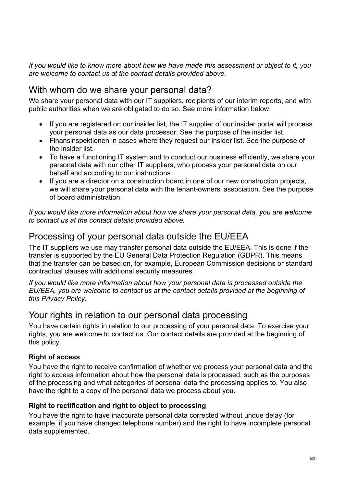*If you would like to know more about how we have made this assessment or object to it, you are welcome to contact us at the contact details provided above.*

## With whom do we share your personal data?

We share your personal data with our IT suppliers, recipients of our interim reports, and with public authorities when we are obligated to do so. See more information below.

- If you are registered on our insider list, the IT supplier of our insider portal will process your personal data as our data processor. See the purpose of the insider list.
- Finansinspektionen in cases where they request our insider list. See the purpose of the insider list.
- To have a functioning IT system and to conduct our business efficiently, we share your personal data with our other IT suppliers, who process your personal data on our behalf and according to our instructions.
- If you are a director on a construction board in one of our new construction projects, we will share your personal data with the tenant-owners' association. See the purpose of board administration.

*If you would like more information about how we share your personal data, you are welcome to contact us at the contact details provided above.*

## Processing of your personal data outside the EU/EEA

The IT suppliers we use may transfer personal data outside the EU/EEA. This is done if the transfer is supported by the EU General Data Protection Regulation (GDPR). This means that the transfer can be based on, for example, European Commission decisions or standard contractual clauses with additional security measures.

*If you would like more information about how your personal data is processed outside the EU/EEA, you are welcome to contact us at the contact details provided at the beginning of this Privacy Policy.*

## Your rights in relation to our personal data processing

You have certain rights in relation to our processing of your personal data. To exercise your rights, you are welcome to contact us. Our contact details are provided at the beginning of this policy.

## **Right of access**

You have the right to receive confirmation of whether we process your personal data and the right to access information about how the personal data is processed, such as the purposes of the processing and what categories of personal data the processing applies to. You also have the right to a copy of the personal data we process about you.

## **Right to rectification and right to object to processing**

You have the right to have inaccurate personal data corrected without undue delay (for example, if you have changed telephone number) and the right to have incomplete personal data supplemented.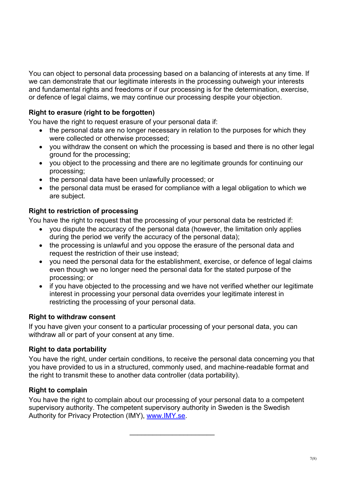You can object to personal data processing based on a balancing of interests at any time. If we can demonstrate that our legitimate interests in the processing outweigh your interests and fundamental rights and freedoms or if our processing is for the determination, exercise, or defence of legal claims, we may continue our processing despite your objection.

## **Right to erasure (right to be forgotten)**

You have the right to request erasure of your personal data if:

- the personal data are no longer necessary in relation to the purposes for which they were collected or otherwise processed;
- you withdraw the consent on which the processing is based and there is no other legal ground for the processing;
- you object to the processing and there are no legitimate grounds for continuing our processing;
- the personal data have been unlawfully processed; or
- the personal data must be erased for compliance with a legal obligation to which we are subject.

## **Right to restriction of processing**

You have the right to request that the processing of your personal data be restricted if:

- you dispute the accuracy of the personal data (however, the limitation only applies during the period we verify the accuracy of the personal data);
- the processing is unlawful and you oppose the erasure of the personal data and request the restriction of their use instead;
- you need the personal data for the establishment, exercise, or defence of legal claims even though we no longer need the personal data for the stated purpose of the processing; or
- if you have objected to the processing and we have not verified whether our legitimate interest in processing your personal data overrides your legitimate interest in restricting the processing of your personal data.

## **Right to withdraw consent**

If you have given your consent to a particular processing of your personal data, you can withdraw all or part of your consent at any time.

## **Right to data portability**

You have the right, under certain conditions, to receive the personal data concerning you that you have provided to us in a structured, commonly used, and machine-readable format and the right to transmit these to another data controller (data portability).

## **Right to complain**

You have the right to complain about our processing of your personal data to a competent supervisory authority. The competent supervisory authority in Sweden is the Swedish Authority for Privacy Protection (IMY), www.IMY.se.

 $\mathcal{L}_\text{max}$  , where  $\mathcal{L}_\text{max}$  , we have the set of the set of the set of the set of the set of the set of the set of the set of the set of the set of the set of the set of the set of the set of the set of the set of